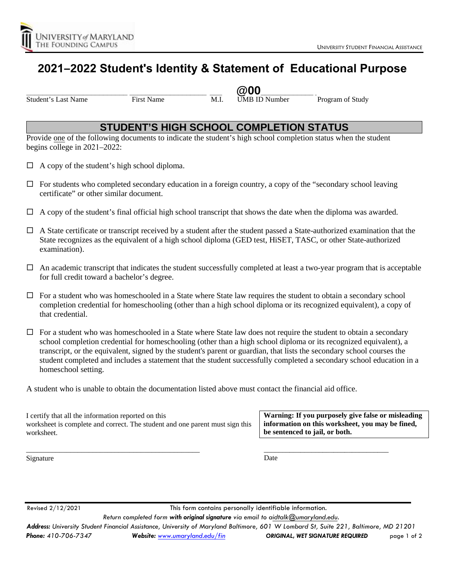

# **2021–2022 Student's Identity & Statement of Educational Purpose**

Student's Last Name First Name First Name M.I. UMB ID Number Program of Study

**\_\_\_\_\_\_\_\_\_\_\_\_\_\_\_\_\_\_\_\_\_\_\_\_\_ \_\_\_\_\_\_\_\_\_\_\_\_\_\_\_\_\_\_\_ \_\_\_ @00\_\_\_\_\_\_\_\_\_\_\_\_\_ \_\_\_\_\_\_\_\_\_\_\_\_\_\_\_\_\_\_\_\_\_\_\_\_\_**

#### **STUDENT'S HIGH SCHOOL COMPLETION STATUS**

Provide one of the following documents to indicate the student's high school completion status when the student begins college in 2021–2022:

- $\Box$  A copy of the student's high school diploma.
- $\Box$  For students who completed secondary education in a foreign country, a copy of the "secondary school leaving certificate" or other similar document.
- $\Box$  A copy of the student's final official high school transcript that shows the date when the diploma was awarded.
- $\Box$  A State certificate or transcript received by a student after the student passed a State-authorized examination that the State recognizes as the equivalent of a high school diploma (GED test, HiSET, TASC, or other State-authorized examination).
- $\Box$  An academic transcript that indicates the student successfully completed at least a two-year program that is acceptable for full credit toward a bachelor's degree.
- $\Box$  For a student who was homeschooled in a State where State law requires the student to obtain a secondary school completion credential for homeschooling (other than a high school diploma or its recognized equivalent), a copy of that credential.

 $\Box$  For a student who was homeschooled in a State where State law does not require the student to obtain a secondary school completion credential for homeschooling (other than a high school diploma or its recognized equivalent), a transcript, or the equivalent, signed by the student's parent or guardian, that lists the secondary school courses the student completed and includes a statement that the student successfully completed a secondary school education in a homeschool setting.

A student who is unable to obtain the documentation listed above must contact the financial aid office.

I certify that all the information reported on this worksheet is complete and correct. The student and one parent must sign this worksheet.

\_\_\_\_\_\_\_\_\_\_\_\_\_\_\_\_\_\_\_\_\_\_\_\_\_\_\_\_\_\_\_\_\_\_\_\_\_\_\_\_\_\_\_\_\_\_\_

**Warning: If you purposely give false or misleading information on this worksheet, you may be fined, be sentenced to jail, or both.**

\_\_\_\_\_\_\_\_\_\_\_\_\_\_\_\_\_\_\_\_\_\_\_\_\_\_\_\_\_\_\_\_\_\_

Signature

Date

Revised 2/12/2021 This form contains personally identifiable information.

*Return completed form with original signature via email to aidtalk@umaryland.edu.*

*Address: University Student Financial Assistance, University of Maryland Baltimore, 601 W Lombard St, Suite 221, Baltimore, MD 21201*